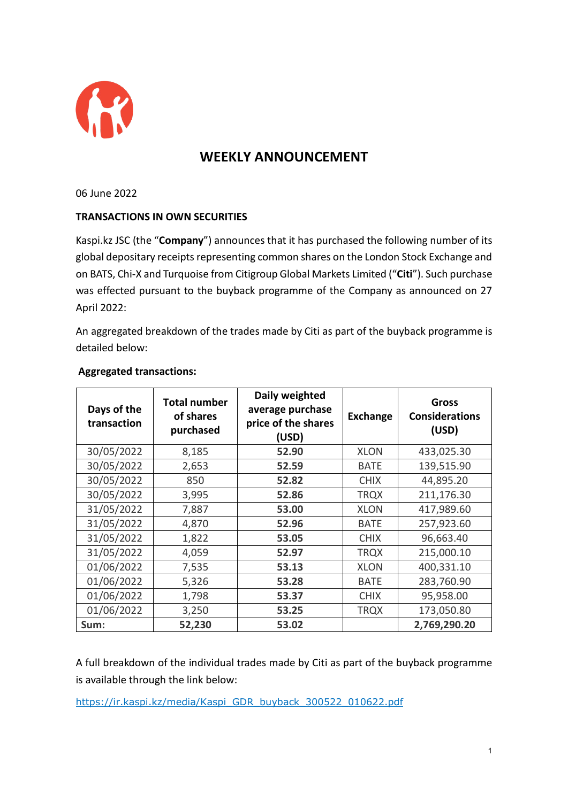

## **WEEKLY ANNOUNCEMENT**

06 June 2022

## **TRANSACTIONS IN OWN SECURITIES**

Kaspi.kz JSC (the "**Company**") announces that it has purchased the following number of its global depositary receipts representing common shares on the London Stock Exchange and on BATS, Chi-X and Turquoise from Citigroup Global Markets Limited ("**Citi**"). Such purchase was effected pursuant to the buyback programme of the Company as announced on 27 April 2022:

An aggregated breakdown of the trades made by Citi as part of the buyback programme is detailed below:

| Days of the<br>transaction | <b>Total number</b><br>of shares<br>purchased | Daily weighted<br>average purchase<br>price of the shares<br>(USD) | <b>Exchange</b> | Gross<br><b>Considerations</b><br>(USD) |
|----------------------------|-----------------------------------------------|--------------------------------------------------------------------|-----------------|-----------------------------------------|
| 30/05/2022                 | 8,185                                         | 52.90                                                              | <b>XLON</b>     | 433,025.30                              |
| 30/05/2022                 | 2,653                                         | 52.59                                                              | <b>BATE</b>     | 139,515.90                              |
| 30/05/2022                 | 850                                           | 52.82                                                              | <b>CHIX</b>     | 44,895.20                               |
| 30/05/2022                 | 3,995                                         | 52.86                                                              | <b>TRQX</b>     | 211,176.30                              |
| 31/05/2022                 | 7,887                                         | 53.00                                                              | <b>XLON</b>     | 417,989.60                              |
| 31/05/2022                 | 4,870                                         | 52.96                                                              | <b>BATE</b>     | 257,923.60                              |
| 31/05/2022                 | 1,822                                         | 53.05                                                              | <b>CHIX</b>     | 96,663.40                               |
| 31/05/2022                 | 4,059                                         | 52.97                                                              | <b>TRQX</b>     | 215,000.10                              |
| 01/06/2022                 | 7,535                                         | 53.13                                                              | <b>XLON</b>     | 400,331.10                              |
| 01/06/2022                 | 5,326                                         | 53.28                                                              | <b>BATE</b>     | 283,760.90                              |
| 01/06/2022                 | 1,798                                         | 53.37                                                              | <b>CHIX</b>     | 95,958.00                               |
| 01/06/2022                 | 3,250                                         | 53.25                                                              | <b>TRQX</b>     | 173,050.80                              |
| Sum:                       | 52,230                                        | 53.02                                                              |                 | 2,769,290.20                            |

## **Aggregated transactions:**

A full breakdown of the individual trades made by Citi as part of the buyback programme is available through the link below:

[https://ir.kaspi.kz/media/Kaspi\\_GDR\\_buyback\\_300522\\_010622.pdf](https://ir.kaspi.kz/media/Kaspi_GDR_buyback_300522_010622.pdf)